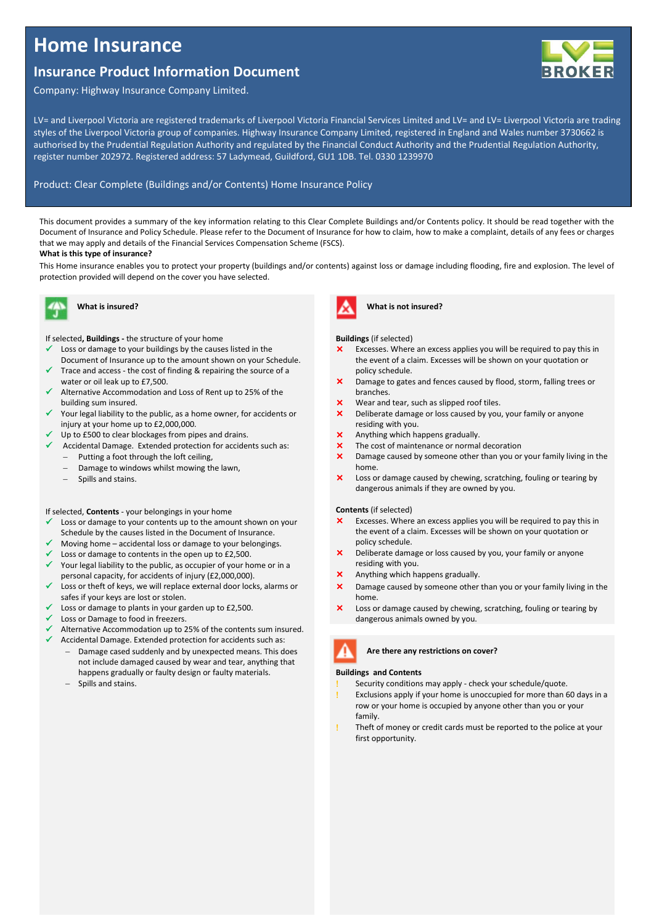# **Home Insurance**

## **Insurance Product Information Document**



Company: Highway Insurance Company Limited.

LV= and Liverpool Victoria are registered trademarks of Liverpool Victoria Financial Services Limited and LV= and LV= Liverpool Victoria are trading styles of the Liverpool Victoria group of companies. Highway Insurance Company Limited, registered in England and Wales number 3730662 is authorised by the Prudential Regulation Authority and regulated by the Financial Conduct Authority and the Prudential Regulation Authority, register number 202972. Registered address: 57 Ladymead, Guildford, GU1 1DB. Tel. 0330 1239970

## Product: Clear Complete (Buildings and/or Contents) Home Insurance Policy

This document provides a summary of the key information relating to this Clear Complete Buildings and/or Contents policy. It should be read together with the Document of Insurance and Policy Schedule. Please refer to the Document of Insurance for how to claim, how to make a complaint, details of any fees or charges that we may apply and details of the Financial Services Compensation Scheme (FSCS).

## **What is this type of insurance?**

This Home insurance enables you to protect your property (buildings and/or contents) against loss or damage including flooding, fire and explosion. The level of protection provided will depend on the cover you have selected.



## **What is insured?**

If selected**, Buildings -** the structure of your home

- Loss or damage to your buildings by the causes listed in the Document of Insurance up to the amount shown on your Schedule.
- Trace and access the cost of finding & repairing the source of a water or oil leak up to £7,500.
- Alternative Accommodation and Loss of Rent up to 25% of the building sum insured.
- Your legal liability to the public, as a home owner, for accidents or injury at your home up to £2,000,000.
- Up to £500 to clear blockages from pipes and drains.
- $\checkmark$  Accidental Damage. Extended protection for accidents such as: − Putting a foot through the loft ceiling,
	- Damage to windows whilst mowing the lawn,
	- − Spills and stains.

## If selected, **Contents** - your belongings in your home

- Loss or damage to your contents up to the amount shown on your Schedule by the causes listed in the Document of Insurance.
- Moving home accidental loss or damage to your belongings.
- Loss or damage to contents in the open up to £2,500.
- $\checkmark$  Your legal liability to the public, as occupier of your home or in a personal capacity, for accidents of injury (£2,000,000).
- Loss or theft of keys, we will replace external door locks, alarms or safes if your keys are lost or stolen.
- Loss or damage to plants in your garden up to £2,500.
- Loss or Damage to food in freezers.
- Alternative Accommodation up to 25% of the contents sum insured.
	- Accidental Damage. Extended protection for accidents such as: Damage cased suddenly and by unexpected means. This does not include damaged caused by wear and tear, anything that happens gradually or faulty design or faulty materials.
	- − Spills and stains.



**What is not insured?**

## **Buildings** (if selected)

- Excesses. Where an excess applies you will be required to pay this in the event of a claim. Excesses will be shown on your quotation or policy schedule.
- Damage to gates and fences caused by flood, storm, falling trees or branches.
- Wear and tear, such as slipped roof tiles.
- X Deliberate damage or loss caused by you, your family or anyone residing with you.
- Anything which happens gradually.
- The cost of maintenance or normal decoration
- X Damage caused by someone other than you or your family living in the home.
- $\times$  Loss or damage caused by chewing, scratching, fouling or tearing by dangerous animals if they are owned by you.

#### **Contents** (if selected)

- Excesses. Where an excess applies you will be required to pay this in the event of a claim. Excesses will be shown on your quotation or policy schedule.
- Deliberate damage or loss caused by you, your family or anyone residing with you.
- Anything which happens gradually.
- X Damage caused by someone other than you or your family living in the home.
- Loss or damage caused by chewing, scratching, fouling or tearing by dangerous animals owned by you.



## **Buildings and Contents**

- Security conditions may apply check your schedule/quote.
- Exclusions apply if your home is unoccupied for more than 60 days in a row or your home is occupied by anyone other than you or your family.
- Theft of money or credit cards must be reported to the police at your first opportunity.